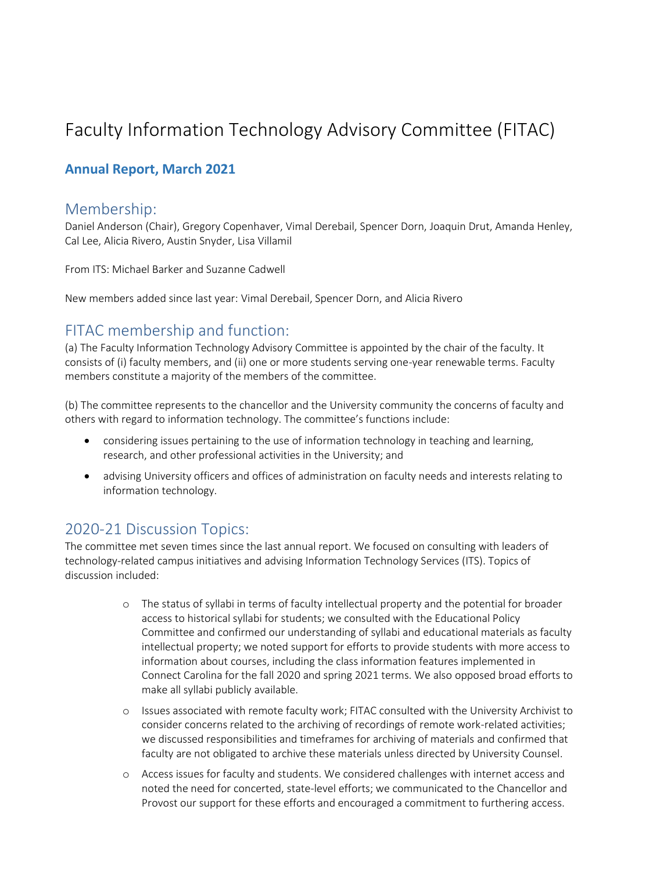# Faculty Information Technology Advisory Committee (FITAC)

### **Annual Report, March 2021**

#### Membership:

Daniel Anderson (Chair), Gregory Copenhaver, Vimal Derebail, Spencer Dorn, Joaquin Drut, Amanda Henley, Cal Lee, Alicia Rivero, Austin Snyder, Lisa Villamil

From ITS: Michael Barker and Suzanne Cadwell

New members added since last year: Vimal Derebail, Spencer Dorn, and Alicia Rivero

# FITAC membership and function:

(a) The Faculty Information Technology Advisory Committee is appointed by the chair of the faculty. It consists of (i) faculty members, and (ii) one or more students serving one-year renewable terms. Faculty members constitute a majority of the members of the committee.

(b) The committee represents to the chancellor and the University community the concerns of faculty and others with regard to information technology. The committee's functions include:

- considering issues pertaining to the use of information technology in teaching and learning, research, and other professional activities in the University; and
- advising University officers and offices of administration on faculty needs and interests relating to information technology.

## 2020-21 Discussion Topics:

The committee met seven times since the last annual report. We focused on consulting with leaders of technology-related campus initiatives and advising Information Technology Services (ITS). Topics of discussion included:

- o The status of syllabi in terms of faculty intellectual property and the potential for broader access to historical syllabi for students; we consulted with the Educational Policy Committee and confirmed our understanding of syllabi and educational materials as faculty intellectual property; we noted support for efforts to provide students with more access to information about courses, including the class information features implemented in Connect Carolina for the fall 2020 and spring 2021 terms. We also opposed broad efforts to make all syllabi publicly available.
- o Issues associated with remote faculty work; FITAC consulted with the University Archivist to consider concerns related to the archiving of recordings of remote work-related activities; we discussed responsibilities and timeframes for archiving of materials and confirmed that faculty are not obligated to archive these materials unless directed by University Counsel.
- o Access issues for faculty and students. We considered challenges with internet access and noted the need for concerted, state-level efforts; we communicated to the Chancellor and Provost our support for these efforts and encouraged a commitment to furthering access.